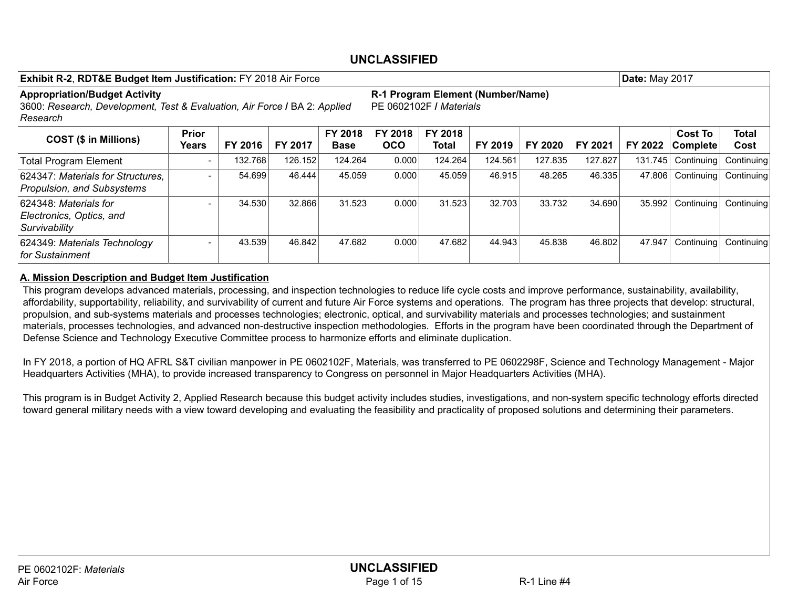| <b>Exhibit R-2, RDT&amp;E Budget Item Justification: FY 2018 Air Force</b>                                                    |                          |         |         |                        |                                                               |                  |         |         |         | <b>Date: May 2017</b> |                                   |                      |
|-------------------------------------------------------------------------------------------------------------------------------|--------------------------|---------|---------|------------------------|---------------------------------------------------------------|------------------|---------|---------|---------|-----------------------|-----------------------------------|----------------------|
| <b>Appropriation/Budget Activity</b><br>3600: Research, Development, Test & Evaluation, Air Force I BA 2: Applied<br>Research |                          |         |         |                        | R-1 Program Element (Number/Name)<br>IPE 0602102F / Materials |                  |         |         |         |                       |                                   |                      |
| <b>COST (\$ in Millions)</b>                                                                                                  | <b>Prior</b><br>Years    | FY 2016 | FY 2017 | FY 2018<br><b>Base</b> | FY 2018<br><b>OCO</b>                                         | FY 2018<br>Total | FY 2019 | FY 2020 | FY 2021 | FY 2022               | <b>Cost To</b><br><b>Complete</b> | <b>Total</b><br>Cost |
| <b>Total Program Element</b>                                                                                                  | $\overline{\phantom{0}}$ | 132.768 | 126.152 | 124.264                | 0.000                                                         | 124.264          | 124.561 | 127.835 | 127.827 | 131.745               | Continuing                        | Continuing           |
| 624347: Materials for Structures.<br>Propulsion, and Subsystems                                                               |                          | 54.699  | 46.444  | 45.059                 | 0.000                                                         | 45.059           | 46.915  | 48.265  | 46.335  | 47.806                | Continuing                        | Continuing           |
| 624348: Materials for<br>Electronics, Optics, and<br>Survivability                                                            |                          | 34.530  | 32.866  | 31.523                 | 0.000                                                         | 31.523           | 32.703  | 33.732  | 34.690  | 35.992                | Continuing                        | Continuing           |
| 624349: Materials Technology<br>for Sustainment                                                                               |                          | 43.539  | 46.842  | 47.682                 | 0.000                                                         | 47.682           | 44.943  | 45.838  | 46.802  | 47.947                | Continuing                        | Continuing           |

#### A. Mission Description and Budget Item Justification

This program develops advanced materials, processing, and inspection technologies to reduce life cycle costs and improve performance, sustainability, availability, affordability, supportability, reliability, and survivability of current and future Air Force systems and operations. The program has three projects that develop: structural, propulsion, and sub-systems materials and processes technologies; electronic, optical, and survivability materials and processes technologies; and sustainment materials, processes technologies, and advanced non-destructive inspection methodologies. Efforts in the program have been coordinated through the Department of Defense Science and Technology Executive Committee process to harmonize efforts and eliminate duplication.

In FY 2018, a portion of HQ AFRL S&T civilian manpower in PE 0602102F, Materials, was transferred to PE 0602298F, Science and Technology Management - Major Headquarters Activities (MHA), to provide increased transparency to Congress on personnel in Major Headquarters Activities (MHA).

This program is in Budget Activity 2, Applied Research because this budget activity includes studies, investigations, and non-system specific technology efforts directed toward general military needs with a view toward developing and evaluating the feasibility and practicality of proposed solutions and determining their parameters.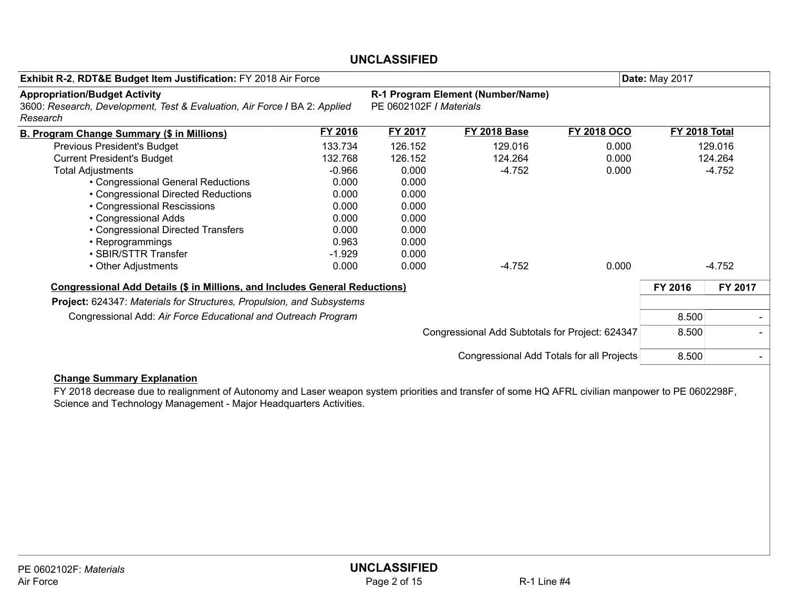| Exhibit R-2, RDT&E Budget Item Justification: FY 2018 Air Force                                                               |                                           | <b>Date: May 2017</b>   |                                                 |                    |               |          |
|-------------------------------------------------------------------------------------------------------------------------------|-------------------------------------------|-------------------------|-------------------------------------------------|--------------------|---------------|----------|
| <b>Appropriation/Budget Activity</b><br>3600: Research, Development, Test & Evaluation, Air Force I BA 2: Applied<br>Research |                                           | PE 0602102F / Materials | R-1 Program Element (Number/Name)               |                    |               |          |
| <b>B. Program Change Summary (\$ in Millions)</b>                                                                             | FY 2016                                   | FY 2017                 | <b>FY 2018 Base</b>                             | <b>FY 2018 OCO</b> | FY 2018 Total |          |
| Previous President's Budget                                                                                                   | 133.734                                   | 126.152                 | 129.016                                         | 0.000              |               | 129.016  |
| <b>Current President's Budget</b>                                                                                             | 132.768                                   | 126.152                 | 124.264                                         | 0.000              |               | 124.264  |
| <b>Total Adjustments</b>                                                                                                      | $-0.966$                                  | 0.000                   | $-4.752$                                        | 0.000              |               | $-4.752$ |
| • Congressional General Reductions                                                                                            | 0.000                                     | 0.000                   |                                                 |                    |               |          |
| • Congressional Directed Reductions                                                                                           | 0.000                                     | 0.000                   |                                                 |                    |               |          |
| • Congressional Rescissions                                                                                                   | 0.000                                     | 0.000                   |                                                 |                    |               |          |
| • Congressional Adds                                                                                                          | 0.000                                     | 0.000                   |                                                 |                    |               |          |
| • Congressional Directed Transfers                                                                                            | 0.000                                     | 0.000                   |                                                 |                    |               |          |
| • Reprogrammings                                                                                                              | 0.963                                     | 0.000                   |                                                 |                    |               |          |
| • SBIR/STTR Transfer                                                                                                          | $-1.929$                                  | 0.000                   |                                                 |                    |               |          |
| • Other Adjustments                                                                                                           | 0.000                                     | 0.000                   | $-4.752$                                        | 0.000              |               | $-4.752$ |
| <b>Congressional Add Details (\$ in Millions, and Includes General Reductions)</b>                                            |                                           |                         |                                                 |                    | FY 2016       | FY 2017  |
| Project: 624347: Materials for Structures, Propulsion, and Subsystems                                                         |                                           |                         |                                                 |                    |               |          |
| Congressional Add: Air Force Educational and Outreach Program                                                                 |                                           |                         |                                                 |                    | 8.500         |          |
|                                                                                                                               |                                           |                         | Congressional Add Subtotals for Project: 624347 |                    | 8.500         |          |
|                                                                                                                               | Congressional Add Totals for all Projects | 8.500                   |                                                 |                    |               |          |
| $\mathbf{A}$ becomes $\mathbf{A}$ and $\mathbf{B}$ and $\mathbf{B}$ and $\mathbf{B}$ and $\mathbf{A}$ becomes                 |                                           |                         |                                                 |                    |               |          |

#### Change Summary Explanation

FY 2018 decrease due to realignment of Autonomy and Laser weapon system priorities and transfer of some HQ AFRL civilian manpower to PE 0602298F, Science and Technology Management - Major Headquarters Activities.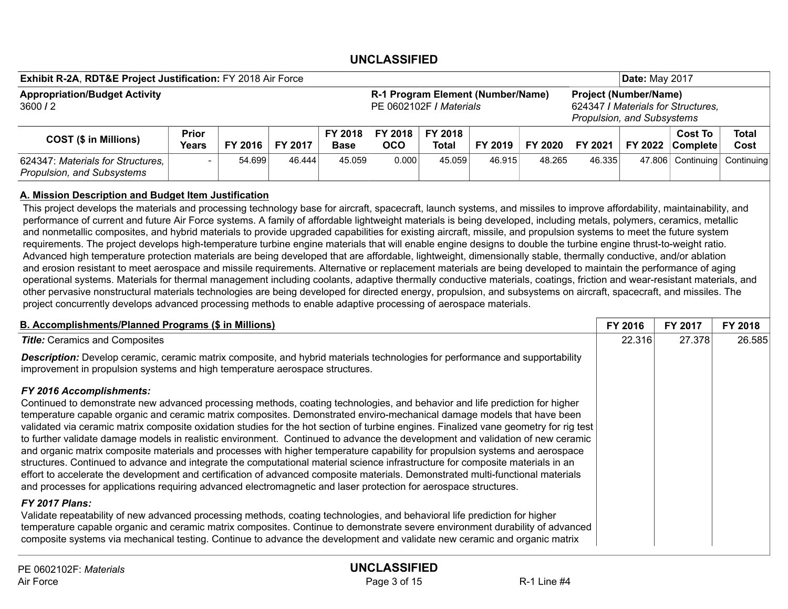| Exhibit R-2A, RDT&E Project Justification: FY 2018 Air Force    |                              |         |         |                        |                                                                      |                  |         | <b>Date: May 2017</b> |                                                                                                  |  |                                    |                      |
|-----------------------------------------------------------------|------------------------------|---------|---------|------------------------|----------------------------------------------------------------------|------------------|---------|-----------------------|--------------------------------------------------------------------------------------------------|--|------------------------------------|----------------------|
| <b>Appropriation/Budget Activity</b><br>3600/2                  |                              |         |         |                        | R-1 Program Element (Number/Name)<br><b>IPE 0602102F / Materials</b> |                  |         |                       | <b>Project (Number/Name)</b><br>624347 / Materials for Structures,<br>Propulsion, and Subsystems |  |                                    |                      |
| <b>COST (\$ in Millions)</b>                                    | <b>Prior</b><br><b>Years</b> | FY 2016 | FY 2017 | FY 2018<br><b>Base</b> | FY 2018<br>осо                                                       | FY 2018<br>Total | FY 2019 | FY 2020               | FY 2021                                                                                          |  | <b>Cost To</b><br>FY 2022 Complete | <b>Total</b><br>Cost |
| 624347: Materials for Structures,<br>Propulsion, and Subsystems |                              | 54.699  | 46.444  | 45.059                 | 0.000                                                                | 45.059           | 46.915  | 48.265                | 46.335                                                                                           |  | 47.806 Continuing                  | Continuina           |

#### A. Mission Description and Budget Item Justification

This project develops the materials and processing technology base for aircraft, spacecraft, launch systems, and missiles to improve affordability, maintainability, and performance of current and future Air Force systems. A family of affordable lightweight materials is being developed, including metals, polymers, ceramics, metallic and nonmetallic composites, and hybrid materials to provide upgraded capabilities for existing aircraft, missile, and propulsion systems to meet the future system requirements. The project develops high-temperature turbine engine materials that will enable engine designs to double the turbine engine thrust-to-weight ratio. Advanced high temperature protection materials are being developed that are affordable, lightweight, dimensionally stable, thermally conductive, and/or ablation and erosion resistant to meet aerospace and missile requirements. Alternative or replacement materials are being developed to maintain the performance of aging operational systems. Materials for thermal management including coolants, adaptive thermally conductive materials, coatings, friction and wear-resistant materials, and other pervasive nonstructural materials technologies are being developed for directed energy, propulsion, and subsystems on aircraft, spacecraft, and missiles. The project concurrently develops advanced processing methods to enable adaptive processing of aerospace materials.

| <b>B. Accomplishments/Planned Programs (\$ in Millions)</b>                                                                                                                                                                                                                                                                                                                                                                                                                                                                                                                                                                                                                                                                                                                                                                                                                                                                                                              | FY 2016 | FY 2017 | FY 2018 |
|--------------------------------------------------------------------------------------------------------------------------------------------------------------------------------------------------------------------------------------------------------------------------------------------------------------------------------------------------------------------------------------------------------------------------------------------------------------------------------------------------------------------------------------------------------------------------------------------------------------------------------------------------------------------------------------------------------------------------------------------------------------------------------------------------------------------------------------------------------------------------------------------------------------------------------------------------------------------------|---------|---------|---------|
| <b>Title:</b> Ceramics and Composites                                                                                                                                                                                                                                                                                                                                                                                                                                                                                                                                                                                                                                                                                                                                                                                                                                                                                                                                    | 22.316  | 27.378  | 26.585  |
| Description: Develop ceramic, ceramic matrix composite, and hybrid materials technologies for performance and supportability<br>improvement in propulsion systems and high temperature aerospace structures.                                                                                                                                                                                                                                                                                                                                                                                                                                                                                                                                                                                                                                                                                                                                                             |         |         |         |
| <b>FY 2016 Accomplishments:</b><br>Continued to demonstrate new advanced processing methods, coating technologies, and behavior and life prediction for higher<br>temperature capable organic and ceramic matrix composites. Demonstrated enviro-mechanical damage models that have been<br>validated via ceramic matrix composite oxidation studies for the hot section of turbine engines. Finalized vane geometry for rig test<br>to further validate damage models in realistic environment. Continued to advance the development and validation of new ceramic<br>and organic matrix composite materials and processes with higher temperature capability for propulsion systems and aerospace<br>structures. Continued to advance and integrate the computational material science infrastructure for composite materials in an<br>effort to accelerate the development and certification of advanced composite materials. Demonstrated multi-functional materials |         |         |         |
| and processes for applications requiring advanced electromagnetic and laser protection for aerospace structures.<br><b>FY 2017 Plans:</b><br>Validate repeatability of new advanced processing methods, coating technologies, and behavioral life prediction for higher<br>temperature capable organic and ceramic matrix composites. Continue to demonstrate severe environment durability of advanced<br>composite systems via mechanical testing. Continue to advance the development and validate new ceramic and organic matrix                                                                                                                                                                                                                                                                                                                                                                                                                                     |         |         |         |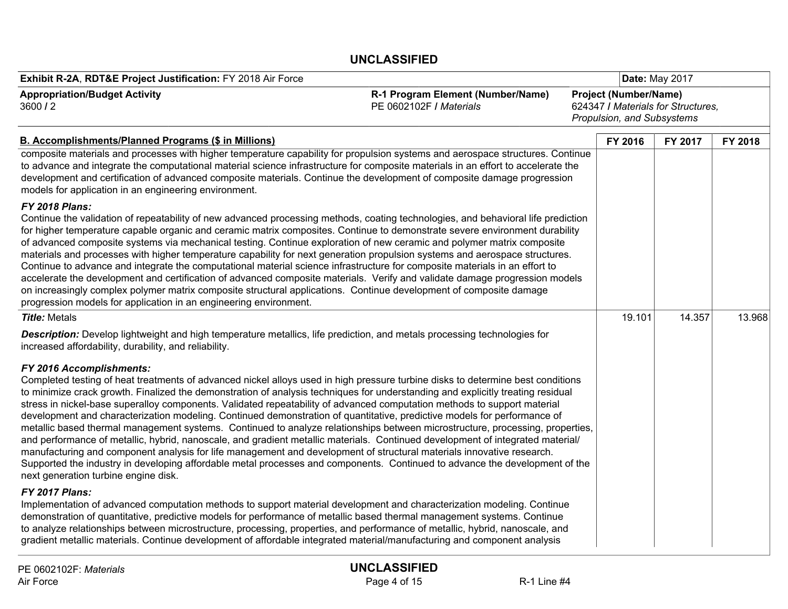| Exhibit R-2A, RDT&E Project Justification: FY 2018 Air Force                                                                                                                                                                                                                                                                                                                                                                                                                                                                                                                                                                                                                                                                                                                                                                                                                                                                                                                                                                                                                                                              |                                                              |                                                                                                  | <b>Date: May 2017</b> |         |         |
|---------------------------------------------------------------------------------------------------------------------------------------------------------------------------------------------------------------------------------------------------------------------------------------------------------------------------------------------------------------------------------------------------------------------------------------------------------------------------------------------------------------------------------------------------------------------------------------------------------------------------------------------------------------------------------------------------------------------------------------------------------------------------------------------------------------------------------------------------------------------------------------------------------------------------------------------------------------------------------------------------------------------------------------------------------------------------------------------------------------------------|--------------------------------------------------------------|--------------------------------------------------------------------------------------------------|-----------------------|---------|---------|
| <b>Appropriation/Budget Activity</b><br>3600/2                                                                                                                                                                                                                                                                                                                                                                                                                                                                                                                                                                                                                                                                                                                                                                                                                                                                                                                                                                                                                                                                            | R-1 Program Element (Number/Name)<br>PE 0602102F / Materials | <b>Project (Number/Name)</b><br>624347 / Materials for Structures.<br>Propulsion, and Subsystems |                       |         |         |
| <b>B. Accomplishments/Planned Programs (\$ in Millions)</b>                                                                                                                                                                                                                                                                                                                                                                                                                                                                                                                                                                                                                                                                                                                                                                                                                                                                                                                                                                                                                                                               |                                                              | FY 2016                                                                                          |                       | FY 2017 | FY 2018 |
| composite materials and processes with higher temperature capability for propulsion systems and aerospace structures. Continue<br>to advance and integrate the computational material science infrastructure for composite materials in an effort to accelerate the<br>development and certification of advanced composite materials. Continue the development of composite damage progression<br>models for application in an engineering environment.                                                                                                                                                                                                                                                                                                                                                                                                                                                                                                                                                                                                                                                                   |                                                              |                                                                                                  |                       |         |         |
| <b>FY 2018 Plans:</b><br>Continue the validation of repeatability of new advanced processing methods, coating technologies, and behavioral life prediction<br>for higher temperature capable organic and ceramic matrix composites. Continue to demonstrate severe environment durability<br>of advanced composite systems via mechanical testing. Continue exploration of new ceramic and polymer matrix composite<br>materials and processes with higher temperature capability for next generation propulsion systems and aerospace structures.<br>Continue to advance and integrate the computational material science infrastructure for composite materials in an effort to<br>accelerate the development and certification of advanced composite materials. Verify and validate damage progression models<br>on increasingly complex polymer matrix composite structural applications. Continue development of composite damage<br>progression models for application in an engineering environment.                                                                                                               |                                                              |                                                                                                  |                       |         |         |
| <b>Title: Metals</b>                                                                                                                                                                                                                                                                                                                                                                                                                                                                                                                                                                                                                                                                                                                                                                                                                                                                                                                                                                                                                                                                                                      |                                                              |                                                                                                  | 19.101                | 14.357  | 13.968  |
| <b>Description:</b> Develop lightweight and high temperature metallics, life prediction, and metals processing technologies for<br>increased affordability, durability, and reliability.                                                                                                                                                                                                                                                                                                                                                                                                                                                                                                                                                                                                                                                                                                                                                                                                                                                                                                                                  |                                                              |                                                                                                  |                       |         |         |
| FY 2016 Accomplishments:<br>Completed testing of heat treatments of advanced nickel alloys used in high pressure turbine disks to determine best conditions<br>to minimize crack growth. Finalized the demonstration of analysis techniques for understanding and explicitly treating residual<br>stress in nickel-base superalloy components. Validated repeatability of advanced computation methods to support material<br>development and characterization modeling. Continued demonstration of quantitative, predictive models for performance of<br>metallic based thermal management systems. Continued to analyze relationships between microstructure, processing, properties,<br>and performance of metallic, hybrid, nanoscale, and gradient metallic materials. Continued development of integrated material/<br>manufacturing and component analysis for life management and development of structural materials innovative research.<br>Supported the industry in developing affordable metal processes and components. Continued to advance the development of the<br>next generation turbine engine disk. |                                                              |                                                                                                  |                       |         |         |
| FY 2017 Plans:<br>Implementation of advanced computation methods to support material development and characterization modeling. Continue<br>demonstration of quantitative, predictive models for performance of metallic based thermal management systems. Continue<br>to analyze relationships between microstructure, processing, properties, and performance of metallic, hybrid, nanoscale, and<br>gradient metallic materials. Continue development of affordable integrated material/manufacturing and component analysis                                                                                                                                                                                                                                                                                                                                                                                                                                                                                                                                                                                           |                                                              |                                                                                                  |                       |         |         |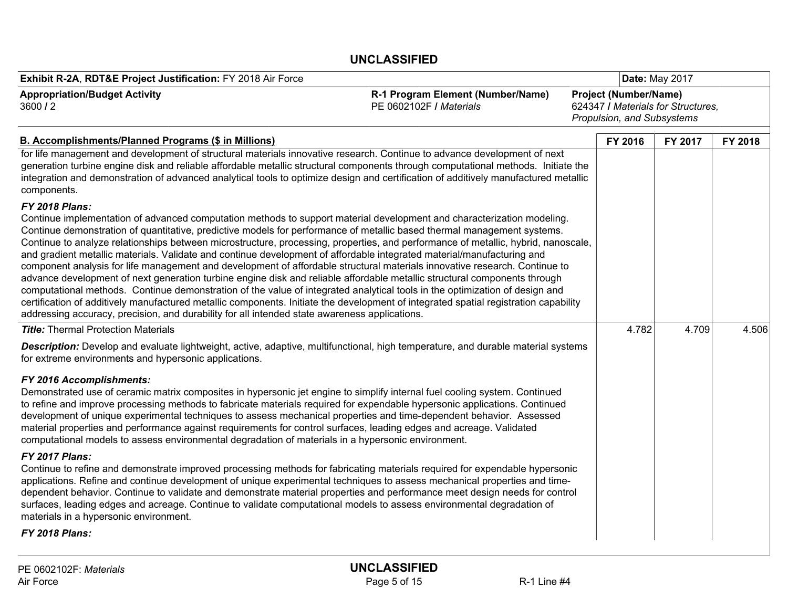| Exhibit R-2A, RDT&E Project Justification: FY 2018 Air Force                                                                                                                                                                                                                                                                                                                                                                                                                                                                                                                                                                                                                                                                                                                                                                                                                                                                                                                                                                                                                                                                                                                 |                                                              | <b>Date: May 2017</b>                                      |                                    |         |
|------------------------------------------------------------------------------------------------------------------------------------------------------------------------------------------------------------------------------------------------------------------------------------------------------------------------------------------------------------------------------------------------------------------------------------------------------------------------------------------------------------------------------------------------------------------------------------------------------------------------------------------------------------------------------------------------------------------------------------------------------------------------------------------------------------------------------------------------------------------------------------------------------------------------------------------------------------------------------------------------------------------------------------------------------------------------------------------------------------------------------------------------------------------------------|--------------------------------------------------------------|------------------------------------------------------------|------------------------------------|---------|
| <b>Appropriation/Budget Activity</b><br>3600/2                                                                                                                                                                                                                                                                                                                                                                                                                                                                                                                                                                                                                                                                                                                                                                                                                                                                                                                                                                                                                                                                                                                               | R-1 Program Element (Number/Name)<br>PE 0602102F / Materials | <b>Project (Number/Name)</b><br>Propulsion, and Subsystems | 624347 / Materials for Structures. |         |
| <b>B. Accomplishments/Planned Programs (\$ in Millions)</b>                                                                                                                                                                                                                                                                                                                                                                                                                                                                                                                                                                                                                                                                                                                                                                                                                                                                                                                                                                                                                                                                                                                  |                                                              | FY 2016                                                    | FY 2017                            | FY 2018 |
| for life management and development of structural materials innovative research. Continue to advance development of next<br>generation turbine engine disk and reliable affordable metallic structural components through computational methods. Initiate the<br>integration and demonstration of advanced analytical tools to optimize design and certification of additively manufactured metallic<br>components.                                                                                                                                                                                                                                                                                                                                                                                                                                                                                                                                                                                                                                                                                                                                                          |                                                              |                                                            |                                    |         |
| <b>FY 2018 Plans:</b><br>Continue implementation of advanced computation methods to support material development and characterization modeling.<br>Continue demonstration of quantitative, predictive models for performance of metallic based thermal management systems.<br>Continue to analyze relationships between microstructure, processing, properties, and performance of metallic, hybrid, nanoscale,<br>and gradient metallic materials. Validate and continue development of affordable integrated material/manufacturing and<br>component analysis for life management and development of affordable structural materials innovative research. Continue to<br>advance development of next generation turbine engine disk and reliable affordable metallic structural components through<br>computational methods. Continue demonstration of the value of integrated analytical tools in the optimization of design and<br>certification of additively manufactured metallic components. Initiate the development of integrated spatial registration capability<br>addressing accuracy, precision, and durability for all intended state awareness applications. |                                                              |                                                            |                                    |         |
| <b>Title:</b> Thermal Protection Materials                                                                                                                                                                                                                                                                                                                                                                                                                                                                                                                                                                                                                                                                                                                                                                                                                                                                                                                                                                                                                                                                                                                                   |                                                              | 4.782                                                      | 4.709                              | 4.506   |
| Description: Develop and evaluate lightweight, active, adaptive, multifunctional, high temperature, and durable material systems<br>for extreme environments and hypersonic applications.                                                                                                                                                                                                                                                                                                                                                                                                                                                                                                                                                                                                                                                                                                                                                                                                                                                                                                                                                                                    |                                                              |                                                            |                                    |         |
| FY 2016 Accomplishments:<br>Demonstrated use of ceramic matrix composites in hypersonic jet engine to simplify internal fuel cooling system. Continued<br>to refine and improve processing methods to fabricate materials required for expendable hypersonic applications. Continued<br>development of unique experimental techniques to assess mechanical properties and time-dependent behavior. Assessed<br>material properties and performance against requirements for control surfaces, leading edges and acreage. Validated<br>computational models to assess environmental degradation of materials in a hypersonic environment.                                                                                                                                                                                                                                                                                                                                                                                                                                                                                                                                     |                                                              |                                                            |                                    |         |
| FY 2017 Plans:<br>Continue to refine and demonstrate improved processing methods for fabricating materials required for expendable hypersonic<br>applications. Refine and continue development of unique experimental techniques to assess mechanical properties and time-<br>dependent behavior. Continue to validate and demonstrate material properties and performance meet design needs for control<br>surfaces, leading edges and acreage. Continue to validate computational models to assess environmental degradation of<br>materials in a hypersonic environment.<br><b>FY 2018 Plans:</b>                                                                                                                                                                                                                                                                                                                                                                                                                                                                                                                                                                         |                                                              |                                                            |                                    |         |
|                                                                                                                                                                                                                                                                                                                                                                                                                                                                                                                                                                                                                                                                                                                                                                                                                                                                                                                                                                                                                                                                                                                                                                              |                                                              |                                                            |                                    |         |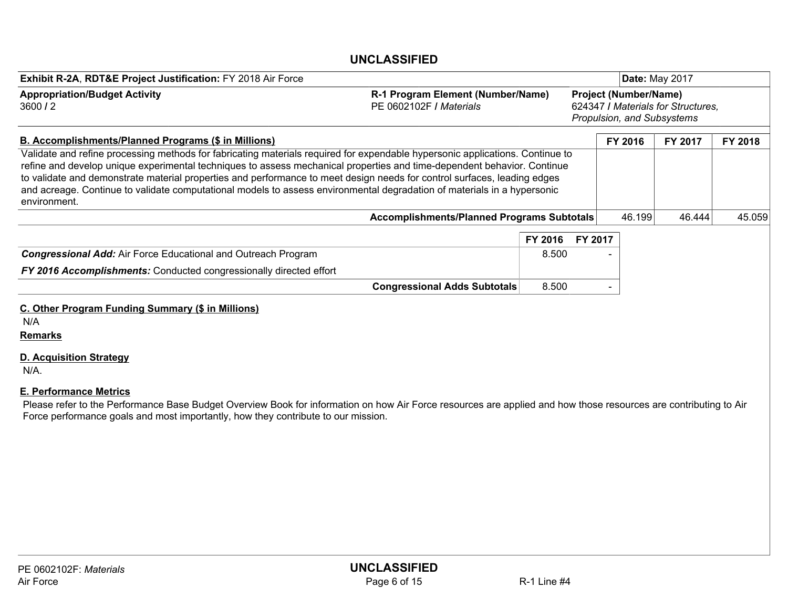| Exhibit R-2A, RDT&E Project Justification: FY 2018 Air Force                                                                                                                                                                                                                                                                                                                                                                                                                                                                    |                                                              |         | <b>Date: May 2017</b>                                                                            |         |         |         |  |  |
|---------------------------------------------------------------------------------------------------------------------------------------------------------------------------------------------------------------------------------------------------------------------------------------------------------------------------------------------------------------------------------------------------------------------------------------------------------------------------------------------------------------------------------|--------------------------------------------------------------|---------|--------------------------------------------------------------------------------------------------|---------|---------|---------|--|--|
| <b>Appropriation/Budget Activity</b><br>3600/2                                                                                                                                                                                                                                                                                                                                                                                                                                                                                  | R-1 Program Element (Number/Name)<br>PE 0602102F / Materials |         | <b>Project (Number/Name)</b><br>624347 / Materials for Structures,<br>Propulsion, and Subsystems |         |         |         |  |  |
| <b>B. Accomplishments/Planned Programs (\$ in Millions)</b>                                                                                                                                                                                                                                                                                                                                                                                                                                                                     |                                                              |         |                                                                                                  | FY 2016 | FY 2017 | FY 2018 |  |  |
| Validate and refine processing methods for fabricating materials required for expendable hypersonic applications. Continue to<br>refine and develop unique experimental techniques to assess mechanical properties and time-dependent behavior. Continue<br>to validate and demonstrate material properties and performance to meet design needs for control surfaces, leading edges<br>and acreage. Continue to validate computational models to assess environmental degradation of materials in a hypersonic<br>environment. |                                                              |         |                                                                                                  |         |         |         |  |  |
|                                                                                                                                                                                                                                                                                                                                                                                                                                                                                                                                 | <b>Accomplishments/Planned Programs Subtotals</b>            |         |                                                                                                  | 46.199  | 46.444  | 45.059  |  |  |
|                                                                                                                                                                                                                                                                                                                                                                                                                                                                                                                                 |                                                              | FY 2016 | FY 2017                                                                                          |         |         |         |  |  |
| <b>Congressional Add:</b> Air Force Educational and Outreach Program                                                                                                                                                                                                                                                                                                                                                                                                                                                            |                                                              | 8.500   |                                                                                                  |         |         |         |  |  |
| FY 2016 Accomplishments: Conducted congressionally directed effort                                                                                                                                                                                                                                                                                                                                                                                                                                                              |                                                              |         |                                                                                                  |         |         |         |  |  |
|                                                                                                                                                                                                                                                                                                                                                                                                                                                                                                                                 | <b>Congressional Adds Subtotals</b>                          | 8.500   |                                                                                                  |         |         |         |  |  |
| C. Other Program Funding Summary (\$ in Millions)<br>N/A<br><b>Remarks</b><br><b>D. Acquisition Strategy</b><br>N/A.<br><b>E. Performance Metrics</b><br>Please refer to the Performance Base Budget Overview Book for information on how Air Force resources are applied and how those resources are contributing to Air<br>Force performance goals and most importantly, how they contribute to our mission.                                                                                                                  |                                                              |         |                                                                                                  |         |         |         |  |  |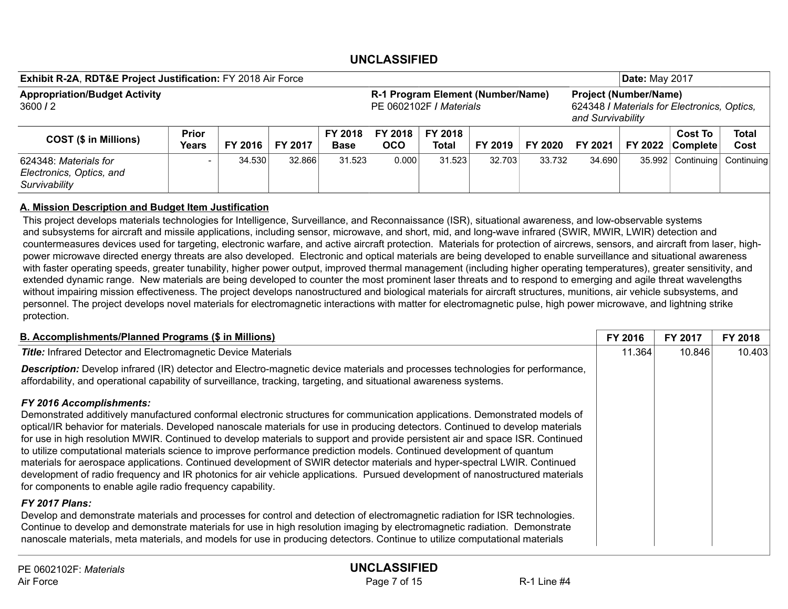| Exhibit R-2A, RDT&E Project Justification: FY 2018 Air Force       |                       |         |         |                        |                                                              |                  |         | <b>Date: May 2017</b> |                                                                                                  |         |                                   |                      |
|--------------------------------------------------------------------|-----------------------|---------|---------|------------------------|--------------------------------------------------------------|------------------|---------|-----------------------|--------------------------------------------------------------------------------------------------|---------|-----------------------------------|----------------------|
| <b>Appropriation/Budget Activity</b><br>3600/2                     |                       |         |         |                        | R-1 Program Element (Number/Name)<br>PE 0602102F / Materials |                  |         |                       | <b>Project (Number/Name)</b><br>624348 I Materials for Electronics, Optics,<br>and Survivability |         |                                   |                      |
| <b>COST (\$ in Millions)</b>                                       | <b>Prior</b><br>Years | FY 2016 | FY 2017 | FY 2018<br><b>Base</b> | FY 2018<br><b>OCO</b>                                        | FY 2018<br>Total | FY 2019 | FY 2020               | FY 2021                                                                                          | FY 2022 | <b>Cost To</b><br><b>Complete</b> | <b>Total</b><br>Cost |
| 624348: Materials for<br>Electronics, Optics, and<br>Survivability |                       | 34.530  | 32.866  | 31.523                 | 0.000                                                        | 31.523           | 32.703  | 33.732                | 34.690                                                                                           |         | 35.992 Continuing                 | Continuing           |

#### A. Mission Description and Budget Item Justification

This project develops materials technologies for Intelligence, Surveillance, and Reconnaissance (ISR), situational awareness, and low-observable systems and subsystems for aircraft and missile applications, including sensor, microwave, and short, mid, and long-wave infrared (SWIR, MWIR, LWIR) detection and countermeasures devices used for targeting, electronic warfare, and active aircraft protection. Materials for protection of aircrews, sensors, and aircraft from laser, highpower microwave directed energy threats are also developed. Electronic and optical materials are being developed to enable surveillance and situational awareness with faster operating speeds, greater tunability, higher power output, improved thermal management (including higher operating temperatures), greater sensitivity, and extended dynamic range. New materials are being developed to counter the most prominent laser threats and to respond to emerging and agile threat wavelengths without impairing mission effectiveness. The project develops nanostructured and biological materials for aircraft structures, munitions, air vehicle subsystems, and personnel. The project develops novel materials for electromagnetic interactions with matter for electromagnetic pulse, high power microwave, and lightning strike protection.

| <b>B. Accomplishments/Planned Programs (\$ in Millions)</b>                                                                                                                                                                                                                                                                                                                                                                                                                                                                                                                                                                                                                                                                                                                                                                                                                              | FY 2016 | <b>FY 2017</b> | FY 2018 |
|------------------------------------------------------------------------------------------------------------------------------------------------------------------------------------------------------------------------------------------------------------------------------------------------------------------------------------------------------------------------------------------------------------------------------------------------------------------------------------------------------------------------------------------------------------------------------------------------------------------------------------------------------------------------------------------------------------------------------------------------------------------------------------------------------------------------------------------------------------------------------------------|---------|----------------|---------|
| <b>Title:</b> Infrared Detector and Electromagnetic Device Materials                                                                                                                                                                                                                                                                                                                                                                                                                                                                                                                                                                                                                                                                                                                                                                                                                     | 11.364  | 10.846         | 10.403  |
| <b>Description:</b> Develop infrared (IR) detector and Electro-magnetic device materials and processes technologies for performance,<br>affordability, and operational capability of surveillance, tracking, targeting, and situational awareness systems.                                                                                                                                                                                                                                                                                                                                                                                                                                                                                                                                                                                                                               |         |                |         |
| <b>FY 2016 Accomplishments:</b><br>Demonstrated additively manufactured conformal electronic structures for communication applications. Demonstrated models of<br>optical/IR behavior for materials. Developed nanoscale materials for use in producing detectors. Continued to develop materials<br>for use in high resolution MWIR. Continued to develop materials to support and provide persistent air and space ISR. Continued<br>to utilize computational materials science to improve performance prediction models. Continued development of quantum<br>materials for aerospace applications. Continued development of SWIR detector materials and hyper-spectral LWIR. Continued<br>development of radio frequency and IR photonics for air vehicle applications. Pursued development of nanostructured materials<br>for components to enable agile radio frequency capability. |         |                |         |
| FY 2017 Plans:<br>Develop and demonstrate materials and processes for control and detection of electromagnetic radiation for ISR technologies.<br>Continue to develop and demonstrate materials for use in high resolution imaging by electromagnetic radiation. Demonstrate<br>nanoscale materials, meta materials, and models for use in producing detectors. Continue to utilize computational materials                                                                                                                                                                                                                                                                                                                                                                                                                                                                              |         |                |         |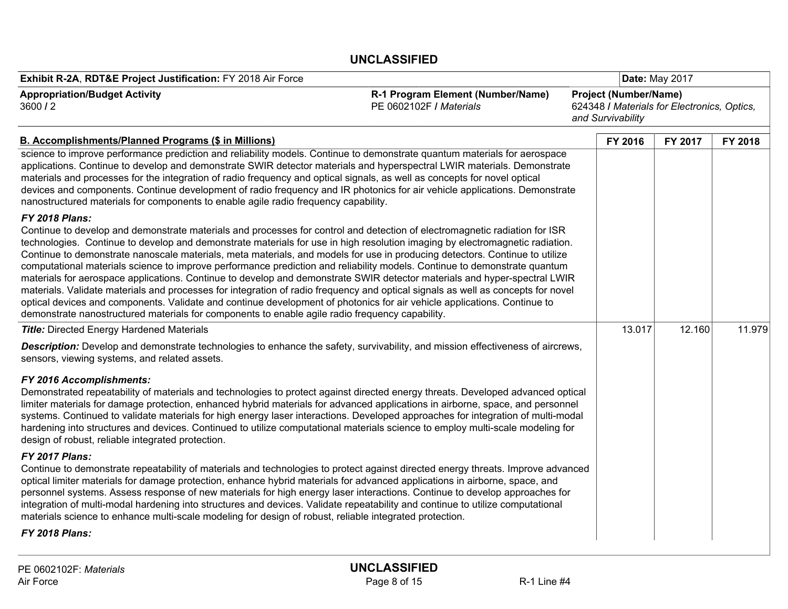| Exhibit R-2A, RDT&E Project Justification: FY 2018 Air Force                                                                                                                                                                                                                                                                                                                                                                                                                                                                                                                                                                                                                                                                                                                                                                                                                                                                                                                                                                                    |                                                              | Date: May 2017    |                                                                             |         |  |  |  |
|-------------------------------------------------------------------------------------------------------------------------------------------------------------------------------------------------------------------------------------------------------------------------------------------------------------------------------------------------------------------------------------------------------------------------------------------------------------------------------------------------------------------------------------------------------------------------------------------------------------------------------------------------------------------------------------------------------------------------------------------------------------------------------------------------------------------------------------------------------------------------------------------------------------------------------------------------------------------------------------------------------------------------------------------------|--------------------------------------------------------------|-------------------|-----------------------------------------------------------------------------|---------|--|--|--|
| <b>Appropriation/Budget Activity</b><br>3600/2                                                                                                                                                                                                                                                                                                                                                                                                                                                                                                                                                                                                                                                                                                                                                                                                                                                                                                                                                                                                  | R-1 Program Element (Number/Name)<br>PE 0602102F / Materials | and Survivability | <b>Project (Number/Name)</b><br>624348 / Materials for Electronics, Optics, |         |  |  |  |
| <b>B. Accomplishments/Planned Programs (\$ in Millions)</b>                                                                                                                                                                                                                                                                                                                                                                                                                                                                                                                                                                                                                                                                                                                                                                                                                                                                                                                                                                                     |                                                              | FY 2016           | FY 2017                                                                     | FY 2018 |  |  |  |
| science to improve performance prediction and reliability models. Continue to demonstrate quantum materials for aerospace<br>applications. Continue to develop and demonstrate SWIR detector materials and hyperspectral LWIR materials. Demonstrate<br>materials and processes for the integration of radio frequency and optical signals, as well as concepts for novel optical<br>devices and components. Continue development of radio frequency and IR photonics for air vehicle applications. Demonstrate<br>nanostructured materials for components to enable agile radio frequency capability.                                                                                                                                                                                                                                                                                                                                                                                                                                          |                                                              |                   |                                                                             |         |  |  |  |
| <b>FY 2018 Plans:</b><br>Continue to develop and demonstrate materials and processes for control and detection of electromagnetic radiation for ISR<br>technologies. Continue to develop and demonstrate materials for use in high resolution imaging by electromagnetic radiation.<br>Continue to demonstrate nanoscale materials, meta materials, and models for use in producing detectors. Continue to utilize<br>computational materials science to improve performance prediction and reliability models. Continue to demonstrate quantum<br>materials for aerospace applications. Continue to develop and demonstrate SWIR detector materials and hyper-spectral LWIR<br>materials. Validate materials and processes for integration of radio frequency and optical signals as well as concepts for novel<br>optical devices and components. Validate and continue development of photonics for air vehicle applications. Continue to<br>demonstrate nanostructured materials for components to enable agile radio frequency capability. |                                                              |                   |                                                                             |         |  |  |  |
| <b>Title:</b> Directed Energy Hardened Materials                                                                                                                                                                                                                                                                                                                                                                                                                                                                                                                                                                                                                                                                                                                                                                                                                                                                                                                                                                                                |                                                              | 13.017            | 12.160                                                                      | 11.979  |  |  |  |
| Description: Develop and demonstrate technologies to enhance the safety, survivability, and mission effectiveness of aircrews,<br>sensors, viewing systems, and related assets.                                                                                                                                                                                                                                                                                                                                                                                                                                                                                                                                                                                                                                                                                                                                                                                                                                                                 |                                                              |                   |                                                                             |         |  |  |  |
| FY 2016 Accomplishments:<br>Demonstrated repeatability of materials and technologies to protect against directed energy threats. Developed advanced optical<br>limiter materials for damage protection, enhanced hybrid materials for advanced applications in airborne, space, and personnel<br>systems. Continued to validate materials for high energy laser interactions. Developed approaches for integration of multi-modal<br>hardening into structures and devices. Continued to utilize computational materials science to employ multi-scale modeling for<br>design of robust, reliable integrated protection.                                                                                                                                                                                                                                                                                                                                                                                                                        |                                                              |                   |                                                                             |         |  |  |  |
| <b>FY 2017 Plans:</b><br>Continue to demonstrate repeatability of materials and technologies to protect against directed energy threats. Improve advanced<br>optical limiter materials for damage protection, enhance hybrid materials for advanced applications in airborne, space, and<br>personnel systems. Assess response of new materials for high energy laser interactions. Continue to develop approaches for<br>integration of multi-modal hardening into structures and devices. Validate repeatability and continue to utilize computational<br>materials science to enhance multi-scale modeling for design of robust, reliable integrated protection.<br>FY 2018 Plans:                                                                                                                                                                                                                                                                                                                                                           |                                                              |                   |                                                                             |         |  |  |  |
|                                                                                                                                                                                                                                                                                                                                                                                                                                                                                                                                                                                                                                                                                                                                                                                                                                                                                                                                                                                                                                                 |                                                              |                   |                                                                             |         |  |  |  |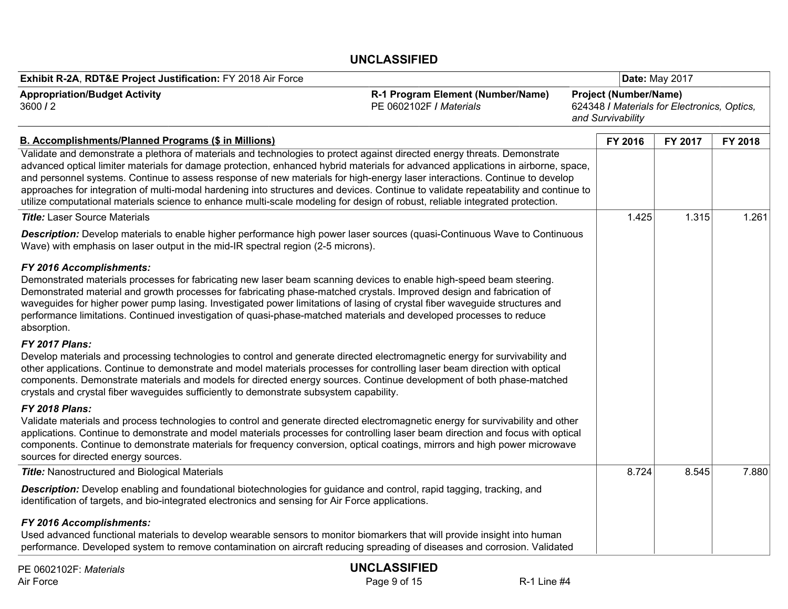| Exhibit R-2A, RDT&E Project Justification: FY 2018 Air Force                                                                                                                                                                                                                                                                                                                                                                                                                                                                                                                                                                                                          |                                                              | Date: May 2017    |                                                                             |         |         |  |
|-----------------------------------------------------------------------------------------------------------------------------------------------------------------------------------------------------------------------------------------------------------------------------------------------------------------------------------------------------------------------------------------------------------------------------------------------------------------------------------------------------------------------------------------------------------------------------------------------------------------------------------------------------------------------|--------------------------------------------------------------|-------------------|-----------------------------------------------------------------------------|---------|---------|--|
| <b>Appropriation/Budget Activity</b><br>3600/2                                                                                                                                                                                                                                                                                                                                                                                                                                                                                                                                                                                                                        | R-1 Program Element (Number/Name)<br>PE 0602102F / Materials | and Survivability | <b>Project (Number/Name)</b><br>624348 / Materials for Electronics, Optics, |         |         |  |
| <b>B. Accomplishments/Planned Programs (\$ in Millions)</b>                                                                                                                                                                                                                                                                                                                                                                                                                                                                                                                                                                                                           |                                                              |                   | FY 2016                                                                     | FY 2017 | FY 2018 |  |
| Validate and demonstrate a plethora of materials and technologies to protect against directed energy threats. Demonstrate<br>advanced optical limiter materials for damage protection, enhanced hybrid materials for advanced applications in airborne, space,<br>and personnel systems. Continue to assess response of new materials for high-energy laser interactions. Continue to develop<br>approaches for integration of multi-modal hardening into structures and devices. Continue to validate repeatability and continue to<br>utilize computational materials science to enhance multi-scale modeling for design of robust, reliable integrated protection. |                                                              |                   |                                                                             |         |         |  |
| <b>Title:</b> Laser Source Materials                                                                                                                                                                                                                                                                                                                                                                                                                                                                                                                                                                                                                                  |                                                              |                   | 1.425                                                                       | 1.315   | 1.261   |  |
| Description: Develop materials to enable higher performance high power laser sources (quasi-Continuous Wave to Continuous<br>Wave) with emphasis on laser output in the mid-IR spectral region (2-5 microns).                                                                                                                                                                                                                                                                                                                                                                                                                                                         |                                                              |                   |                                                                             |         |         |  |
| FY 2016 Accomplishments:<br>Demonstrated materials processes for fabricating new laser beam scanning devices to enable high-speed beam steering.<br>Demonstrated material and growth processes for fabricating phase-matched crystals. Improved design and fabrication of<br>waveguides for higher power pump lasing. Investigated power limitations of lasing of crystal fiber waveguide structures and<br>performance limitations. Continued investigation of quasi-phase-matched materials and developed processes to reduce<br>absorption.                                                                                                                        |                                                              |                   |                                                                             |         |         |  |
| <b>FY 2017 Plans:</b><br>Develop materials and processing technologies to control and generate directed electromagnetic energy for survivability and<br>other applications. Continue to demonstrate and model materials processes for controlling laser beam direction with optical<br>components. Demonstrate materials and models for directed energy sources. Continue development of both phase-matched<br>crystals and crystal fiber waveguides sufficiently to demonstrate subsystem capability.                                                                                                                                                                |                                                              |                   |                                                                             |         |         |  |
| <b>FY 2018 Plans:</b><br>Validate materials and process technologies to control and generate directed electromagnetic energy for survivability and other<br>applications. Continue to demonstrate and model materials processes for controlling laser beam direction and focus with optical<br>components. Continue to demonstrate materials for frequency conversion, optical coatings, mirrors and high power microwave<br>sources for directed energy sources.                                                                                                                                                                                                     |                                                              |                   |                                                                             |         |         |  |
| <b>Title:</b> Nanostructured and Biological Materials                                                                                                                                                                                                                                                                                                                                                                                                                                                                                                                                                                                                                 |                                                              |                   | 8.724                                                                       | 8.545   | 7.880   |  |
| Description: Develop enabling and foundational biotechnologies for guidance and control, rapid tagging, tracking, and<br>identification of targets, and bio-integrated electronics and sensing for Air Force applications.                                                                                                                                                                                                                                                                                                                                                                                                                                            |                                                              |                   |                                                                             |         |         |  |
| FY 2016 Accomplishments:<br>Used advanced functional materials to develop wearable sensors to monitor biomarkers that will provide insight into human<br>performance. Developed system to remove contamination on aircraft reducing spreading of diseases and corrosion. Validated                                                                                                                                                                                                                                                                                                                                                                                    |                                                              |                   |                                                                             |         |         |  |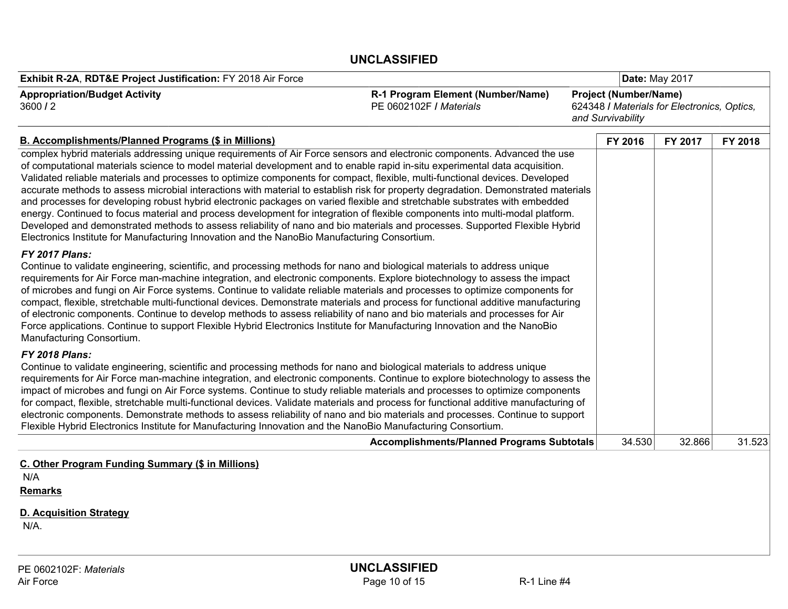| Exhibit R-2A, RDT&E Project Justification: FY 2018 Air Force                                                                                                                                                                                                                                                                                                                                                                                                                                                                                                                                                                                                                                                                                                                                                                                                                                                                                                                                                                |                                                              | Date: May 2017                                                                                   |         |         |
|-----------------------------------------------------------------------------------------------------------------------------------------------------------------------------------------------------------------------------------------------------------------------------------------------------------------------------------------------------------------------------------------------------------------------------------------------------------------------------------------------------------------------------------------------------------------------------------------------------------------------------------------------------------------------------------------------------------------------------------------------------------------------------------------------------------------------------------------------------------------------------------------------------------------------------------------------------------------------------------------------------------------------------|--------------------------------------------------------------|--------------------------------------------------------------------------------------------------|---------|---------|
| <b>Appropriation/Budget Activity</b><br>3600/2                                                                                                                                                                                                                                                                                                                                                                                                                                                                                                                                                                                                                                                                                                                                                                                                                                                                                                                                                                              | R-1 Program Element (Number/Name)<br>PE 0602102F / Materials | <b>Project (Number/Name)</b><br>624348 / Materials for Electronics, Optics,<br>and Survivability |         |         |
| <b>B. Accomplishments/Planned Programs (\$ in Millions)</b>                                                                                                                                                                                                                                                                                                                                                                                                                                                                                                                                                                                                                                                                                                                                                                                                                                                                                                                                                                 |                                                              | FY 2016                                                                                          | FY 2017 | FY 2018 |
| complex hybrid materials addressing unique requirements of Air Force sensors and electronic components. Advanced the use<br>of computational materials science to model material development and to enable rapid in-situ experimental data acquisition.<br>Validated reliable materials and processes to optimize components for compact, flexible, multi-functional devices. Developed<br>accurate methods to assess microbial interactions with material to establish risk for property degradation. Demonstrated materials<br>and processes for developing robust hybrid electronic packages on varied flexible and stretchable substrates with embedded<br>energy. Continued to focus material and process development for integration of flexible components into multi-modal platform.<br>Developed and demonstrated methods to assess reliability of nano and bio materials and processes. Supported Flexible Hybrid<br>Electronics Institute for Manufacturing Innovation and the NanoBio Manufacturing Consortium. |                                                              |                                                                                                  |         |         |
| FY 2017 Plans:<br>Continue to validate engineering, scientific, and processing methods for nano and biological materials to address unique<br>requirements for Air Force man-machine integration, and electronic components. Explore biotechnology to assess the impact<br>of microbes and fungi on Air Force systems. Continue to validate reliable materials and processes to optimize components for<br>compact, flexible, stretchable multi-functional devices. Demonstrate materials and process for functional additive manufacturing<br>of electronic components. Continue to develop methods to assess reliability of nano and bio materials and processes for Air<br>Force applications. Continue to support Flexible Hybrid Electronics Institute for Manufacturing Innovation and the NanoBio<br>Manufacturing Consortium.                                                                                                                                                                                       |                                                              |                                                                                                  |         |         |
| <b>FY 2018 Plans:</b><br>Continue to validate engineering, scientific and processing methods for nano and biological materials to address unique<br>requirements for Air Force man-machine integration, and electronic components. Continue to explore biotechnology to assess the<br>impact of microbes and fungi on Air Force systems. Continue to study reliable materials and processes to optimize components<br>for compact, flexible, stretchable multi-functional devices. Validate materials and process for functional additive manufacturing of<br>electronic components. Demonstrate methods to assess reliability of nano and bio materials and processes. Continue to support<br>Flexible Hybrid Electronics Institute for Manufacturing Innovation and the NanoBio Manufacturing Consortium.                                                                                                                                                                                                                 |                                                              |                                                                                                  |         |         |
|                                                                                                                                                                                                                                                                                                                                                                                                                                                                                                                                                                                                                                                                                                                                                                                                                                                                                                                                                                                                                             | <b>Accomplishments/Planned Programs Subtotals</b>            | 34.530                                                                                           | 32.866  | 31.523  |
| C. Other Program Funding Summary (\$ in Millions)<br>N/A<br><b>Remarks</b><br><b>D. Acquisition Strategy</b><br>N/A.                                                                                                                                                                                                                                                                                                                                                                                                                                                                                                                                                                                                                                                                                                                                                                                                                                                                                                        |                                                              |                                                                                                  |         |         |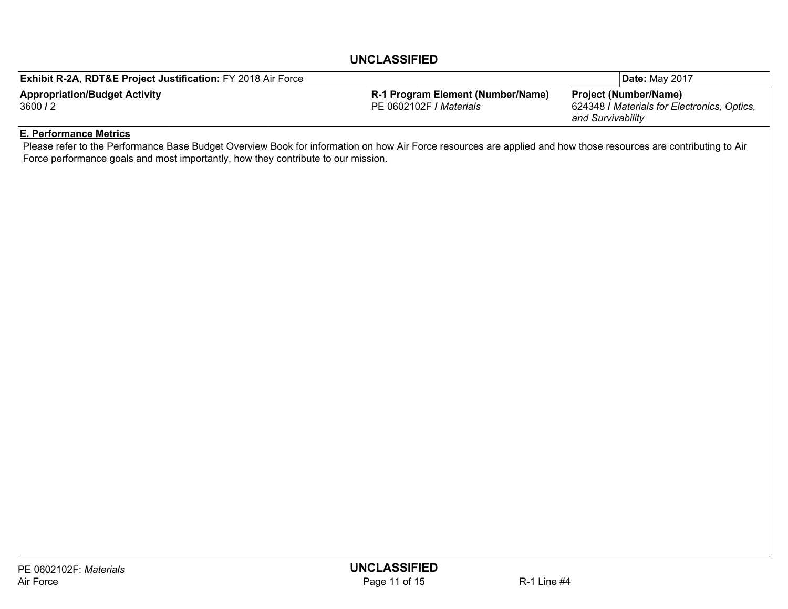| <b>Exhibit R-2A, RDT&amp;E Project Justification: FY 2018 Air Force</b> |                                          |                   | l <b>Date:</b> Mav 2017                             |
|-------------------------------------------------------------------------|------------------------------------------|-------------------|-----------------------------------------------------|
| <b>Appropriation/Budget Activity</b>                                    | <b>R-1 Program Element (Number/Name)</b> | and Survivability | <b>Project (Number/Name)</b>                        |
| 3600/2                                                                  | IPE 0602102F / <i>Materials</i>          |                   | 624348 <i>I Materials for Electronics</i> , Optics, |

#### E. Performance Metrics

Please refer to the Performance Base Budget Overview Book for information on how Air Force resources are applied and how those resources are contributing to Air Force performance goals and most importantly, how they contribute to our mission.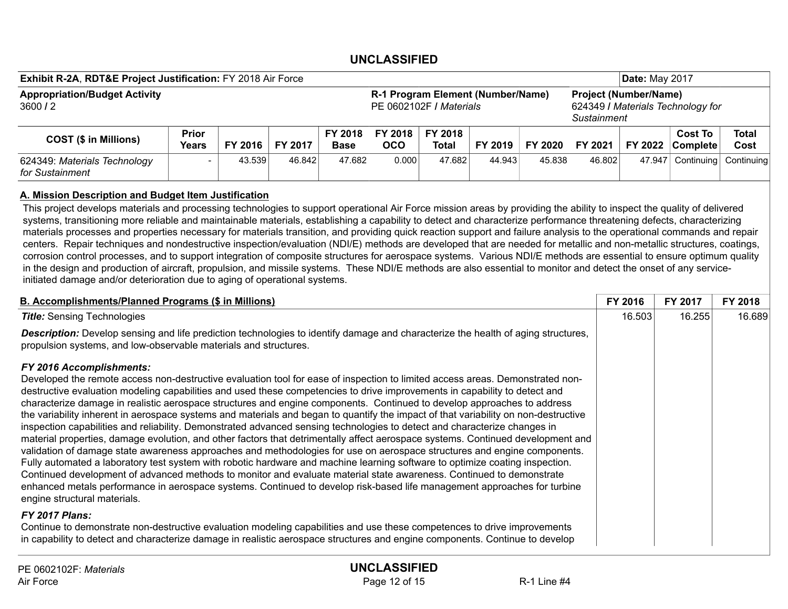| Exhibit R-2A, RDT&E Project Justification: FY 2018 Air Force                                                          |                       |         |         |                                                                                  | <b>Date: May 2017</b> |                  |         |         |         |         |                             |               |
|-----------------------------------------------------------------------------------------------------------------------|-----------------------|---------|---------|----------------------------------------------------------------------------------|-----------------------|------------------|---------|---------|---------|---------|-----------------------------|---------------|
| <b>Appropriation/Budget Activity</b><br>R-1 Program Element (Number/Name)<br>3600/2<br><b>PE 0602102F / Materials</b> |                       |         |         | <b>Project (Number/Name)</b><br>624349 / Materials Technology for<br>Sustainment |                       |                  |         |         |         |         |                             |               |
| <b>COST (\$ in Millions)</b>                                                                                          | <b>Prior</b><br>Years | FY 2016 | FY 2017 | FY 2018<br><b>Base</b>                                                           | FY 2018<br>осо        | FY 2018<br>Total | FY 2019 | FY 2020 | FY 2021 | FY 2022 | <b>Cost To</b><br> Complete | Total<br>Cost |
| 624349: Materials Technology<br>for Sustainment                                                                       |                       | 43.539  | 46.842  | 47.682                                                                           | 0.000                 | 47.682           | 44.943  | 45.838  | 46.802  | 47.947  | Continuing                  | Continuing    |

#### A. Mission Description and Budget Item Justification

This project develops materials and processing technologies to support operational Air Force mission areas by providing the ability to inspect the quality of delivered systems, transitioning more reliable and maintainable materials, establishing a capability to detect and characterize performance threatening defects, characterizing materials processes and properties necessary for materials transition, and providing quick reaction support and failure analysis to the operational commands and repair centers. Repair techniques and nondestructive inspection/evaluation (NDI/E) methods are developed that are needed for metallic and non-metallic structures, coatings, corrosion control processes, and to support integration of composite structures for aerospace systems. Various NDI/E methods are essential to ensure optimum quality in the design and production of aircraft, propulsion, and missile systems. These NDI/E methods are also essential to monitor and detect the onset of any serviceinitiated damage and/or deterioration due to aging of operational systems.

| <b>B. Accomplishments/Planned Programs (\$ in Millions)</b>                                                                                                                                                                                                                                                                                                                                                                                                                                                                                                                                                                                                                                                                                                                                                                                                                                                                                                                                                                                                                                                                                                                                                                                                                                                                                                                                                                                                                                                                    | FY 2016 | <b>FY 2017</b> | FY 2018 |
|--------------------------------------------------------------------------------------------------------------------------------------------------------------------------------------------------------------------------------------------------------------------------------------------------------------------------------------------------------------------------------------------------------------------------------------------------------------------------------------------------------------------------------------------------------------------------------------------------------------------------------------------------------------------------------------------------------------------------------------------------------------------------------------------------------------------------------------------------------------------------------------------------------------------------------------------------------------------------------------------------------------------------------------------------------------------------------------------------------------------------------------------------------------------------------------------------------------------------------------------------------------------------------------------------------------------------------------------------------------------------------------------------------------------------------------------------------------------------------------------------------------------------------|---------|----------------|---------|
| <b>Title:</b> Sensing Technologies                                                                                                                                                                                                                                                                                                                                                                                                                                                                                                                                                                                                                                                                                                                                                                                                                                                                                                                                                                                                                                                                                                                                                                                                                                                                                                                                                                                                                                                                                             | 16.503  | 16.255         | 16.689  |
| <b>Description:</b> Develop sensing and life prediction technologies to identify damage and characterize the health of aging structures,<br>propulsion systems, and low-observable materials and structures.                                                                                                                                                                                                                                                                                                                                                                                                                                                                                                                                                                                                                                                                                                                                                                                                                                                                                                                                                                                                                                                                                                                                                                                                                                                                                                                   |         |                |         |
| FY 2016 Accomplishments:<br>Developed the remote access non-destructive evaluation tool for ease of inspection to limited access areas. Demonstrated non-<br>destructive evaluation modeling capabilities and used these competencies to drive improvements in capability to detect and<br>characterize damage in realistic aerospace structures and engine components. Continued to develop approaches to address<br>the variability inherent in aerospace systems and materials and began to quantify the impact of that variability on non-destructive<br>inspection capabilities and reliability. Demonstrated advanced sensing technologies to detect and characterize changes in<br>material properties, damage evolution, and other factors that detrimentally affect aerospace systems. Continued development and<br>validation of damage state awareness approaches and methodologies for use on aerospace structures and engine components.<br>Fully automated a laboratory test system with robotic hardware and machine learning software to optimize coating inspection.<br>Continued development of advanced methods to monitor and evaluate material state awareness. Continued to demonstrate<br>enhanced metals performance in aerospace systems. Continued to develop risk-based life management approaches for turbine<br>engine structural materials.<br><b>FY 2017 Plans:</b><br>Continue to demonstrate non-destructive evaluation modeling capabilities and use these competences to drive improvements |         |                |         |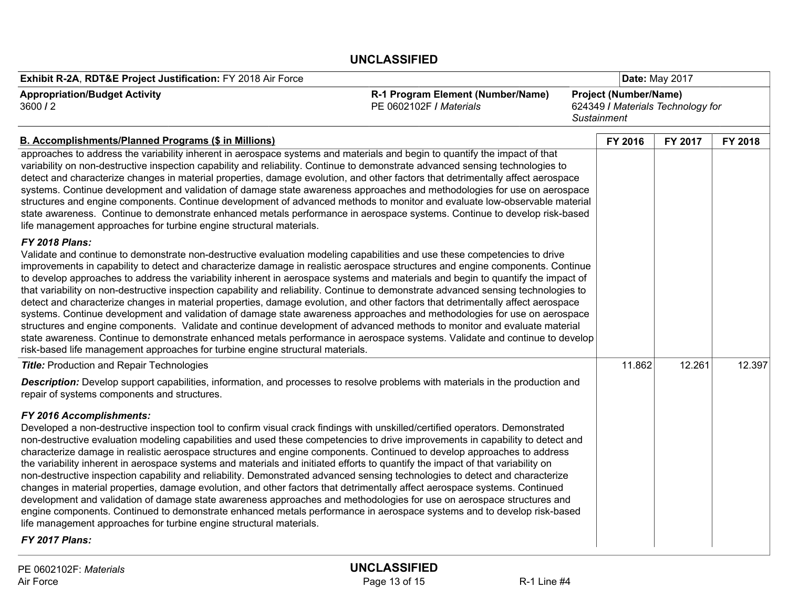| Exhibit R-2A, RDT&E Project Justification: FY 2018 Air Force                                                                                                                                                                                                                                                                                                                                                                                                                                                                                                                                                                                                                                                                                                                                                                                                                                                                                                                                                                                                                                                                                                                |                                                              |                    |                                                                   |                | Date: May 2017 |  |  |
|-----------------------------------------------------------------------------------------------------------------------------------------------------------------------------------------------------------------------------------------------------------------------------------------------------------------------------------------------------------------------------------------------------------------------------------------------------------------------------------------------------------------------------------------------------------------------------------------------------------------------------------------------------------------------------------------------------------------------------------------------------------------------------------------------------------------------------------------------------------------------------------------------------------------------------------------------------------------------------------------------------------------------------------------------------------------------------------------------------------------------------------------------------------------------------|--------------------------------------------------------------|--------------------|-------------------------------------------------------------------|----------------|----------------|--|--|
| <b>Appropriation/Budget Activity</b><br>3600/2                                                                                                                                                                                                                                                                                                                                                                                                                                                                                                                                                                                                                                                                                                                                                                                                                                                                                                                                                                                                                                                                                                                              | R-1 Program Element (Number/Name)<br>PE 0602102F / Materials | <b>Sustainment</b> | <b>Project (Number/Name)</b><br>624349 / Materials Technology for |                |                |  |  |
| <b>B. Accomplishments/Planned Programs (\$ in Millions)</b>                                                                                                                                                                                                                                                                                                                                                                                                                                                                                                                                                                                                                                                                                                                                                                                                                                                                                                                                                                                                                                                                                                                 |                                                              |                    | FY 2016                                                           | <b>FY 2017</b> | FY 2018        |  |  |
| approaches to address the variability inherent in aerospace systems and materials and begin to quantify the impact of that<br>variability on non-destructive inspection capability and reliability. Continue to demonstrate advanced sensing technologies to<br>detect and characterize changes in material properties, damage evolution, and other factors that detrimentally affect aerospace<br>systems. Continue development and validation of damage state awareness approaches and methodologies for use on aerospace<br>structures and engine components. Continue development of advanced methods to monitor and evaluate low-observable material<br>state awareness. Continue to demonstrate enhanced metals performance in aerospace systems. Continue to develop risk-based<br>life management approaches for turbine engine structural materials.                                                                                                                                                                                                                                                                                                               |                                                              |                    |                                                                   |                |                |  |  |
| <b>FY 2018 Plans:</b><br>Validate and continue to demonstrate non-destructive evaluation modeling capabilities and use these competencies to drive<br>improvements in capability to detect and characterize damage in realistic aerospace structures and engine components. Continue<br>to develop approaches to address the variability inherent in aerospace systems and materials and begin to quantify the impact of<br>that variability on non-destructive inspection capability and reliability. Continue to demonstrate advanced sensing technologies to<br>detect and characterize changes in material properties, damage evolution, and other factors that detrimentally affect aerospace<br>systems. Continue development and validation of damage state awareness approaches and methodologies for use on aerospace<br>structures and engine components. Validate and continue development of advanced methods to monitor and evaluate material<br>state awareness. Continue to demonstrate enhanced metals performance in aerospace systems. Validate and continue to develop<br>risk-based life management approaches for turbine engine structural materials. |                                                              |                    |                                                                   |                |                |  |  |
| <b>Title: Production and Repair Technologies</b>                                                                                                                                                                                                                                                                                                                                                                                                                                                                                                                                                                                                                                                                                                                                                                                                                                                                                                                                                                                                                                                                                                                            |                                                              |                    | 11.862                                                            | 12.261         | 12.397         |  |  |
| Description: Develop support capabilities, information, and processes to resolve problems with materials in the production and<br>repair of systems components and structures.                                                                                                                                                                                                                                                                                                                                                                                                                                                                                                                                                                                                                                                                                                                                                                                                                                                                                                                                                                                              |                                                              |                    |                                                                   |                |                |  |  |
| FY 2016 Accomplishments:<br>Developed a non-destructive inspection tool to confirm visual crack findings with unskilled/certified operators. Demonstrated<br>non-destructive evaluation modeling capabilities and used these competencies to drive improvements in capability to detect and<br>characterize damage in realistic aerospace structures and engine components. Continued to develop approaches to address<br>the variability inherent in aerospace systems and materials and initiated efforts to quantify the impact of that variability on<br>non-destructive inspection capability and reliability. Demonstrated advanced sensing technologies to detect and characterize<br>changes in material properties, damage evolution, and other factors that detrimentally affect aerospace systems. Continued<br>development and validation of damage state awareness approaches and methodologies for use on aerospace structures and<br>engine components. Continued to demonstrate enhanced metals performance in aerospace systems and to develop risk-based<br>life management approaches for turbine engine structural materials.<br>FY 2017 Plans:         |                                                              |                    |                                                                   |                |                |  |  |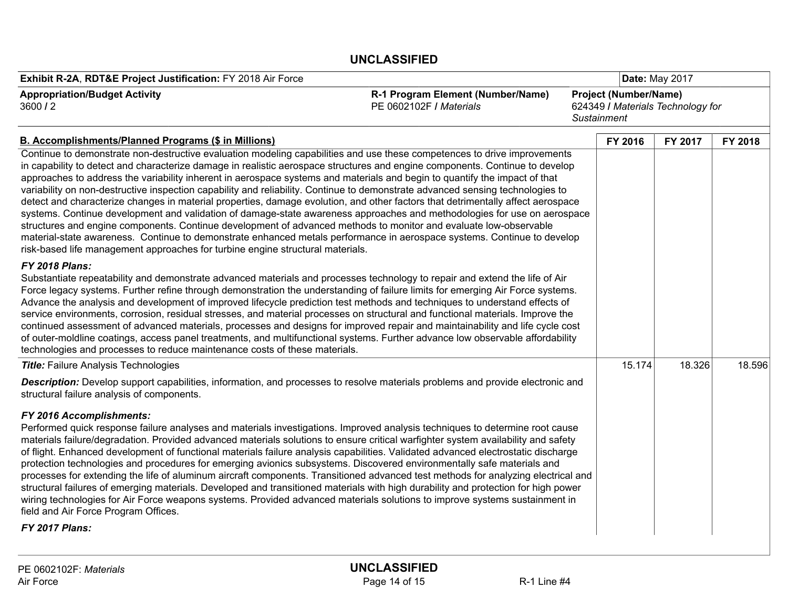| Exhibit R-2A, RDT&E Project Justification: FY 2018 Air Force                                                                                                                                                                                                                                                                                                                                                                                                                                                                                                                                                                                                                                                                                                                                                                                                                                                                                                                                                                                                                                                              |                                                              | Date: May 2017 |                                                                   |        |  |
|---------------------------------------------------------------------------------------------------------------------------------------------------------------------------------------------------------------------------------------------------------------------------------------------------------------------------------------------------------------------------------------------------------------------------------------------------------------------------------------------------------------------------------------------------------------------------------------------------------------------------------------------------------------------------------------------------------------------------------------------------------------------------------------------------------------------------------------------------------------------------------------------------------------------------------------------------------------------------------------------------------------------------------------------------------------------------------------------------------------------------|--------------------------------------------------------------|----------------|-------------------------------------------------------------------|--------|--|
| <b>Appropriation/Budget Activity</b><br>3600/2                                                                                                                                                                                                                                                                                                                                                                                                                                                                                                                                                                                                                                                                                                                                                                                                                                                                                                                                                                                                                                                                            | R-1 Program Element (Number/Name)<br>PE 0602102F / Materials | Sustainment    | <b>Project (Number/Name)</b><br>624349 / Materials Technology for |        |  |
| <b>B. Accomplishments/Planned Programs (\$ in Millions)</b>                                                                                                                                                                                                                                                                                                                                                                                                                                                                                                                                                                                                                                                                                                                                                                                                                                                                                                                                                                                                                                                               | FY 2016                                                      | FY 2017        | FY 2018                                                           |        |  |
| Continue to demonstrate non-destructive evaluation modeling capabilities and use these competences to drive improvements<br>in capability to detect and characterize damage in realistic aerospace structures and engine components. Continue to develop<br>approaches to address the variability inherent in aerospace systems and materials and begin to quantify the impact of that<br>variability on non-destructive inspection capability and reliability. Continue to demonstrate advanced sensing technologies to<br>detect and characterize changes in material properties, damage evolution, and other factors that detrimentally affect aerospace<br>systems. Continue development and validation of damage-state awareness approaches and methodologies for use on aerospace<br>structures and engine components. Continue development of advanced methods to monitor and evaluate low-observable<br>material-state awareness. Continue to demonstrate enhanced metals performance in aerospace systems. Continue to develop<br>risk-based life management approaches for turbine engine structural materials. |                                                              |                |                                                                   |        |  |
| <b>FY 2018 Plans:</b><br>Substantiate repeatability and demonstrate advanced materials and processes technology to repair and extend the life of Air<br>Force legacy systems. Further refine through demonstration the understanding of failure limits for emerging Air Force systems.<br>Advance the analysis and development of improved lifecycle prediction test methods and techniques to understand effects of<br>service environments, corrosion, residual stresses, and material processes on structural and functional materials. Improve the<br>continued assessment of advanced materials, processes and designs for improved repair and maintainability and life cycle cost<br>of outer-moldline coatings, access panel treatments, and multifunctional systems. Further advance low observable affordability<br>technologies and processes to reduce maintenance costs of these materials.                                                                                                                                                                                                                   |                                                              |                |                                                                   |        |  |
| <b>Title:</b> Failure Analysis Technologies                                                                                                                                                                                                                                                                                                                                                                                                                                                                                                                                                                                                                                                                                                                                                                                                                                                                                                                                                                                                                                                                               |                                                              | 15.174         | 18.326                                                            | 18.596 |  |
| <b>Description:</b> Develop support capabilities, information, and processes to resolve materials problems and provide electronic and<br>structural failure analysis of components.                                                                                                                                                                                                                                                                                                                                                                                                                                                                                                                                                                                                                                                                                                                                                                                                                                                                                                                                       |                                                              |                |                                                                   |        |  |
| FY 2016 Accomplishments:<br>Performed quick response failure analyses and materials investigations. Improved analysis techniques to determine root cause<br>materials failure/degradation. Provided advanced materials solutions to ensure critical warfighter system availability and safety<br>of flight. Enhanced development of functional materials failure analysis capabilities. Validated advanced electrostatic discharge<br>protection technologies and procedures for emerging avionics subsystems. Discovered environmentally safe materials and<br>processes for extending the life of aluminum aircraft components. Transitioned advanced test methods for analyzing electrical and<br>structural failures of emerging materials. Developed and transitioned materials with high durability and protection for high power<br>wiring technologies for Air Force weapons systems. Provided advanced materials solutions to improve systems sustainment in<br>field and Air Force Program Offices.<br>FY 2017 Plans:                                                                                           |                                                              |                |                                                                   |        |  |